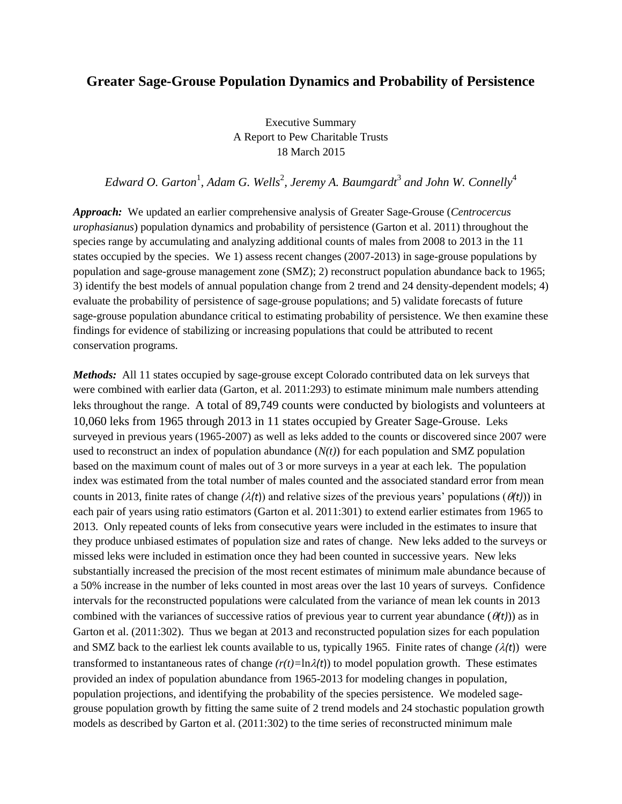## **Greater Sage-Grouse Population Dynamics and Probability of Persistence**

Executive Summary A Report to Pew Charitable Trusts 18 March 2015

Edward O. Garton<sup>1</sup>, Adam G. Wells<sup>2</sup>, Jeremy A. Baumgardt<sup>3</sup> and John W. Connelly<sup>4</sup>

*Approach:* We updated an earlier comprehensive analysis of Greater Sage-Grouse (*Centrocercus urophasianus*) population dynamics and probability of persistence (Garton et al. 2011) throughout the species range by accumulating and analyzing additional counts of males from 2008 to 2013 in the 11 states occupied by the species. We 1) assess recent changes (2007-2013) in sage-grouse populations by population and sage-grouse management zone (SMZ); 2) reconstruct population abundance back to 1965; 3) identify the best models of annual population change from 2 trend and 24 density-dependent models; 4) evaluate the probability of persistence of sage-grouse populations; and 5) validate forecasts of future sage-grouse population abundance critical to estimating probability of persistence. We then examine these findings for evidence of stabilizing or increasing populations that could be attributed to recent conservation programs.

*Methods:* All 11 states occupied by sage-grouse except Colorado contributed data on lek surveys that were combined with earlier data (Garton, et al. 2011:293) to estimate minimum male numbers attending leks throughout the range. A total of 89,749 counts were conducted by biologists and volunteers at 10,060 leks from 1965 through 2013 in 11 states occupied by Greater Sage-Grouse. Leks surveyed in previous years (1965-2007) as well as leks added to the counts or discovered since 2007 were used to reconstruct an index of population abundance  $(N(t))$  for each population and SMZ population based on the maximum count of males out of 3 or more surveys in a year at each lek. The population index was estimated from the total number of males counted and the associated standard error from mean counts in 2013, finite rates of change  $(\lambda(t))$  and relative sizes of the previous years' populations  $(\theta(t))$  in each pair of years using ratio estimators (Garton et al. 2011:301) to extend earlier estimates from 1965 to 2013. Only repeated counts of leks from consecutive years were included in the estimates to insure that they produce unbiased estimates of population size and rates of change. New leks added to the surveys or missed leks were included in estimation once they had been counted in successive years. New leks substantially increased the precision of the most recent estimates of minimum male abundance because of a 50% increase in the number of leks counted in most areas over the last 10 years of surveys. Confidence intervals for the reconstructed populations were calculated from the variance of mean lek counts in 2013 combined with the variances of successive ratios of previous year to current year abundance  $(\theta(t))$  as in Garton et al. (2011:302). Thus we began at 2013 and reconstructed population sizes for each population and SMZ back to the earliest lek counts available to us, typically 1965. Finite rates of change  $(\lambda(t))$  were transformed to instantaneous rates of change  $(r(t)=\ln \lambda(t))$  to model population growth. These estimates provided an index of population abundance from 1965-2013 for modeling changes in population, population projections, and identifying the probability of the species persistence. We modeled sagegrouse population growth by fitting the same suite of 2 trend models and 24 stochastic population growth models as described by Garton et al. (2011:302) to the time series of reconstructed minimum male